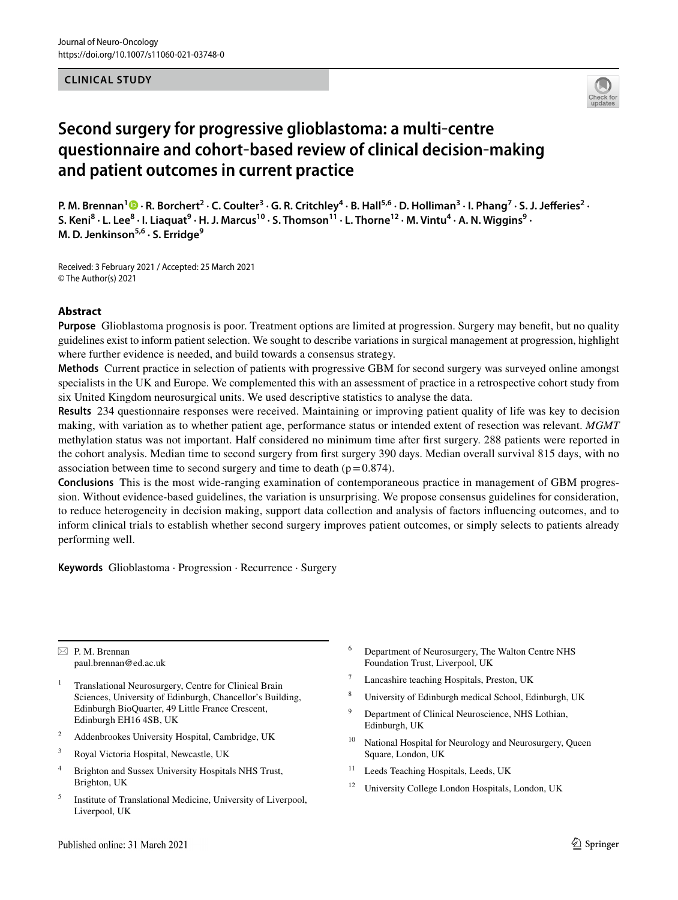#### **CLINICAL STUDY**



# **Second surgery for progressive glioblastoma: a multi**‐**centre questionnaire and cohort**‐**based review of clinical decision**‐**making and patient outcomes in current practice**

P. M. Brennan<sup>[1](http://orcid.org/0000-0002-7347-830X)</sup> • R. Borchert<sup>2</sup> · C. Coulter<sup>3</sup> · G. R. Critchley<sup>4</sup> · B. Hall<sup>5,6</sup> · D. Holliman<sup>3</sup> · I. Phang<sup>7</sup> · S. J. Jefferies<sup>2</sup> · S. Keni<sup>8</sup> · L. Lee<sup>8</sup> · I. Liaquat<sup>9</sup> · H. J. Marcus<sup>10</sup> · S. Thomson<sup>11</sup> · L. Thorne<sup>12</sup> · M. Vintu<sup>4</sup> · A. N. Wiggins<sup>9</sup> · **M. D. Jenkinson5,6 · S. Erridge9**

Received: 3 February 2021 / Accepted: 25 March 2021 © The Author(s) 2021

#### **Abstract**

**Purpose** Glioblastoma prognosis is poor. Treatment options are limited at progression. Surgery may beneft, but no quality guidelines exist to inform patient selection. We sought to describe variations in surgical management at progression, highlight where further evidence is needed, and build towards a consensus strategy.

**Methods** Current practice in selection of patients with progressive GBM for second surgery was surveyed online amongst specialists in the UK and Europe. We complemented this with an assessment of practice in a retrospective cohort study from six United Kingdom neurosurgical units. We used descriptive statistics to analyse the data.

**Results** 234 questionnaire responses were received. Maintaining or improving patient quality of life was key to decision making, with variation as to whether patient age, performance status or intended extent of resection was relevant. *MGMT* methylation status was not important. Half considered no minimum time after frst surgery. 288 patients were reported in the cohort analysis. Median time to second surgery from frst surgery 390 days. Median overall survival 815 days, with no association between time to second surgery and time to death ( $p=0.874$ ).

**Conclusions** This is the most wide-ranging examination of contemporaneous practice in management of GBM progression. Without evidence-based guidelines, the variation is unsurprising. We propose consensus guidelines for consideration, to reduce heterogeneity in decision making, support data collection and analysis of factors infuencing outcomes, and to inform clinical trials to establish whether second surgery improves patient outcomes, or simply selects to patients already performing well.

**Keywords** Glioblastoma · Progression · Recurrence · Surgery

 $\boxtimes$  P. M. Brennan paul.brennan@ed.ac.uk

- <sup>1</sup> Translational Neurosurgery, Centre for Clinical Brain Sciences, University of Edinburgh, Chancellor's Building, Edinburgh BioQuarter, 49 Little France Crescent, Edinburgh EH16 4SB, UK
- <sup>2</sup> Addenbrookes University Hospital, Cambridge, UK
- <sup>3</sup> Royal Victoria Hospital, Newcastle, UK
- <sup>4</sup> Brighton and Sussex University Hospitals NHS Trust, Brighton, UK
- <sup>5</sup> Institute of Translational Medicine, University of Liverpool, Liverpool, UK
- <sup>6</sup> Department of Neurosurgery, The Walton Centre NHS Foundation Trust, Liverpool, UK
- Lancashire teaching Hospitals, Preston, UK
- University of Edinburgh medical School, Edinburgh, UK
- Department of Clinical Neuroscience, NHS Lothian, Edinburgh, UK
- <sup>10</sup> National Hospital for Neurology and Neurosurgery, Queen Square, London, UK
- <sup>11</sup> Leeds Teaching Hospitals, Leeds, UK
- <sup>12</sup> University College London Hospitals, London, UK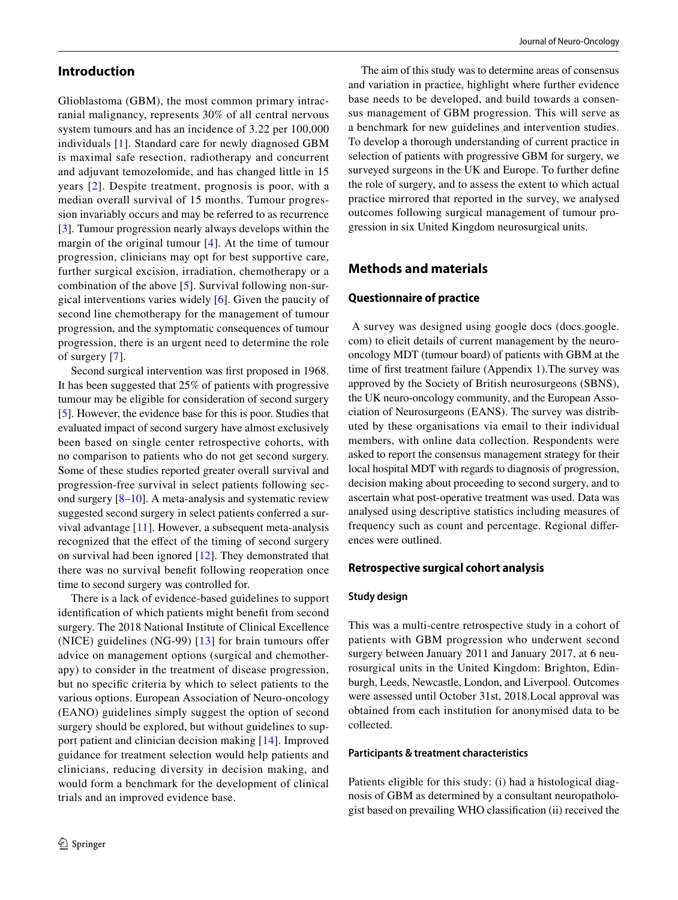## **Introduction**

Glioblastoma (GBM), the most common primary intracranial malignancy, represents 30% of all central nervous system tumours and has an incidence of 3.22 per 100,000 individuals [[1](#page-7-0)]. Standard care for newly diagnosed GBM is maximal safe resection, radiotherapy and concurrent and adjuvant temozolomide, and has changed little in 15 years [[2](#page-8-0)]. Despite treatment, prognosis is poor, with a median overall survival of 15 months. Tumour progression invariably occurs and may be referred to as recurrence [\[3\]](#page-8-1). Tumour progression nearly always develops within the margin of the original tumour [[4](#page-8-2)]. At the time of tumour progression, clinicians may opt for best supportive care, further surgical excision, irradiation, chemotherapy or a combination of the above [\[5](#page-8-3)]. Survival following non-surgical interventions varies widely [\[6\]](#page-8-4). Given the paucity of second line chemotherapy for the management of tumour progression, and the symptomatic consequences of tumour progression, there is an urgent need to determine the role of surgery [[7\]](#page-8-5).

Second surgical intervention was frst proposed in 1968. It has been suggested that 25% of patients with progressive tumour may be eligible for consideration of second surgery [\[5](#page-8-3)]. However, the evidence base for this is poor. Studies that evaluated impact of second surgery have almost exclusively been based on single center retrospective cohorts, with no comparison to patients who do not get second surgery. Some of these studies reported greater overall survival and progression-free survival in select patients following second surgery  $[8-10]$  $[8-10]$ . A meta-analysis and systematic review suggested second surgery in select patients conferred a survival advantage [\[11](#page-8-8)]. However, a subsequent meta-analysis recognized that the efect of the timing of second surgery on survival had been ignored [[12](#page-8-9)]. They demonstrated that there was no survival beneft following reoperation once time to second surgery was controlled for.

There is a lack of evidence-based guidelines to support identifcation of which patients might beneft from second surgery. The 2018 National Institute of Clinical Excellence (NICE) guidelines (NG-99)  $[13]$  $[13]$  $[13]$  for brain tumours offer advice on management options (surgical and chemotherapy) to consider in the treatment of disease progression, but no specifc criteria by which to select patients to the various options. European Association of Neuro-oncology (EANO) guidelines simply suggest the option of second surgery should be explored, but without guidelines to support patient and clinician decision making [[14\]](#page-8-11). Improved guidance for treatment selection would help patients and clinicians, reducing diversity in decision making, and would form a benchmark for the development of clinical trials and an improved evidence base.

The aim of this study was to determine areas of consensus and variation in practice, highlight where further evidence base needs to be developed, and build towards a consensus management of GBM progression. This will serve as a benchmark for new guidelines and intervention studies. To develop a thorough understanding of current practice in selection of patients with progressive GBM for surgery, we surveyed surgeons in the UK and Europe. To further defne the role of surgery, and to assess the extent to which actual practice mirrored that reported in the survey, we analysed outcomes following surgical management of tumour progression in six United Kingdom neurosurgical units.

# **Methods and materials**

## **Questionnaire of practice**

 A survey was designed using google docs (docs.google. com) to elicit details of current management by the neurooncology MDT (tumour board) of patients with GBM at the time of frst treatment failure (Appendix 1).The survey was approved by the Society of British neurosurgeons (SBNS), the UK neuro-oncology community, and the European Association of Neurosurgeons (EANS). The survey was distributed by these organisations via email to their individual members, with online data collection. Respondents were asked to report the consensus management strategy for their local hospital MDT with regards to diagnosis of progression, decision making about proceeding to second surgery, and to ascertain what post-operative treatment was used. Data was analysed using descriptive statistics including measures of frequency such as count and percentage. Regional diferences were outlined.

#### **Retrospective surgical cohort analysis**

#### **Study design**

This was a multi-centre retrospective study in a cohort of patients with GBM progression who underwent second surgery between January 2011 and January 2017, at 6 neurosurgical units in the United Kingdom: Brighton, Edinburgh, Leeds, Newcastle, London, and Liverpool. Outcomes were assessed until October 31st, 2018.Local approval was obtained from each institution for anonymised data to be collected.

#### **Participants & treatment characteristics**

Patients eligible for this study: (i) had a histological diagnosis of GBM as determined by a consultant neuropathologist based on prevailing WHO classifcation (ii) received the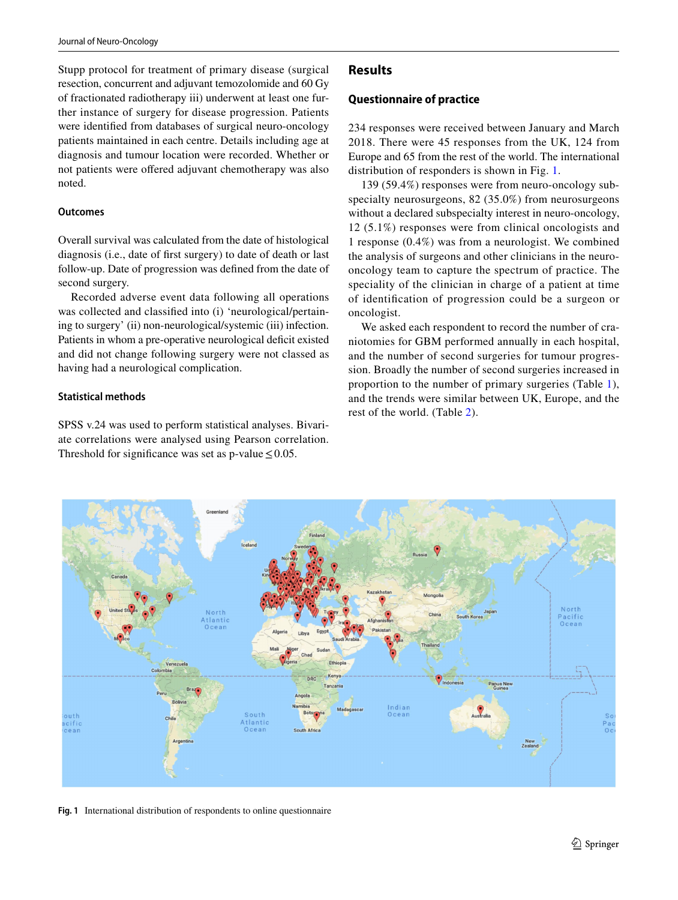Stupp protocol for treatment of primary disease (surgical resection, concurrent and adjuvant temozolomide and 60 Gy of fractionated radiotherapy iii) underwent at least one further instance of surgery for disease progression. Patients were identifed from databases of surgical neuro-oncology patients maintained in each centre. Details including age at diagnosis and tumour location were recorded. Whether or not patients were ofered adjuvant chemotherapy was also noted.

#### **Outcomes**

Overall survival was calculated from the date of histological diagnosis (i.e., date of frst surgery) to date of death or last follow-up. Date of progression was defned from the date of second surgery.

Recorded adverse event data following all operations was collected and classified into (i) 'neurological/pertaining to surgery' (ii) non-neurological/systemic (iii) infection. Patients in whom a pre-operative neurological deficit existed and did not change following surgery were not classed as having had a neurological complication.

#### **Statistical methods**

SPSS v.24 was used to perform statistical analyses. Bivariate correlations were analysed using Pearson correlation. Threshold for significance was set as p-value  $\leq 0.05$ .

## **Results**

#### **Questionnaire of practice**

234 responses were received between January and March 2018. There were 45 responses from the UK, 124 from Europe and 65 from the rest of the world. The international distribution of responders is shown in Fig. [1](#page-2-0).

139 (59.4%) responses were from neuro-oncology subspecialty neurosurgeons, 82 (35.0%) from neurosurgeons without a declared subspecialty interest in neuro-oncology, 12 (5.1%) responses were from clinical oncologists and 1 response (0.4%) was from a neurologist. We combined the analysis of surgeons and other clinicians in the neurooncology team to capture the spectrum of practice. The speciality of the clinician in charge of a patient at time of identifcation of progression could be a surgeon or oncologist.

We asked each respondent to record the number of craniotomies for GBM performed annually in each hospital, and the number of second surgeries for tumour progression. Broadly the number of second surgeries increased in proportion to the number of primary surgeries (Table [1](#page-3-0)), and the trends were similar between UK, Europe, and the rest of the world. (Table [2](#page-3-1)).



<span id="page-2-0"></span>**Fig. 1** International distribution of respondents to online questionnaire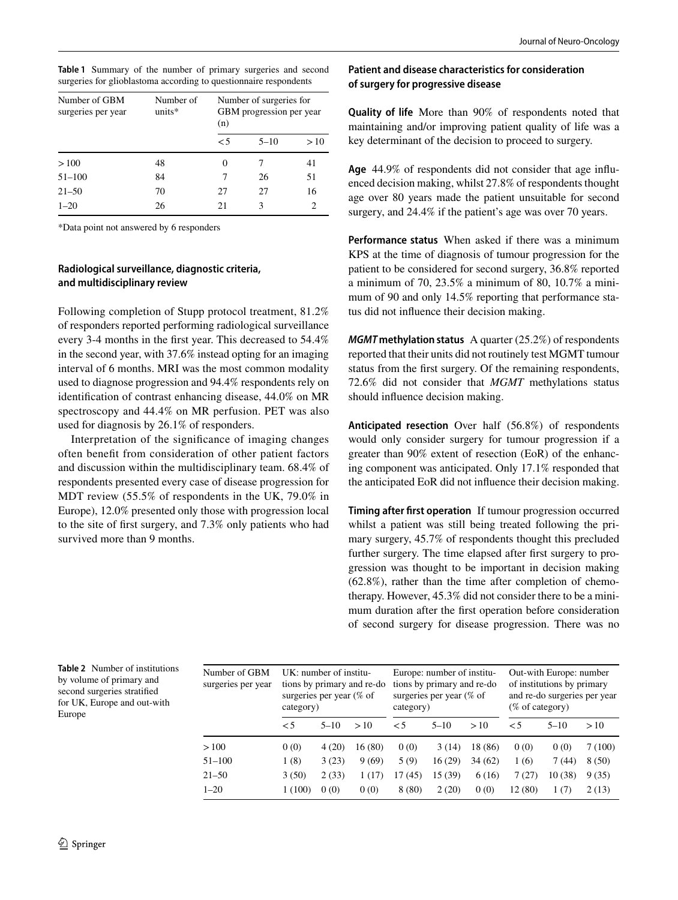<span id="page-3-0"></span>

| Table 1 Summary of the number of primary surgeries and second     |  |  |  |  |
|-------------------------------------------------------------------|--|--|--|--|
| surgeries for glioblastoma according to questionnaire respondents |  |  |  |  |

| Number of GBM<br>surgeries per year | Number of<br>units* | Number of surgeries for<br>GBM progression per year<br>(n) |          |               |  |
|-------------------------------------|---------------------|------------------------------------------------------------|----------|---------------|--|
|                                     |                     | $\leq 5$                                                   | $5 - 10$ | >10           |  |
| >100                                | 48                  | 0                                                          |          | 41            |  |
| $51 - 100$                          | 84                  | 7                                                          | 26       | 51            |  |
| $21 - 50$                           | 70                  | 27                                                         | 27       | 16            |  |
| $1 - 20$                            | 26                  | 21                                                         | 3        | $\mathcal{D}$ |  |

\*Data point not answered by 6 responders

## **Radiological surveillance, diagnostic criteria, and multidisciplinary review**

Following completion of Stupp protocol treatment, 81.2% of responders reported performing radiological surveillance every 3-4 months in the frst year. This decreased to 54.4% in the second year, with 37.6% instead opting for an imaging interval of 6 months. MRI was the most common modality used to diagnose progression and 94.4% respondents rely on identifcation of contrast enhancing disease, 44.0% on MR spectroscopy and 44.4% on MR perfusion. PET was also used for diagnosis by 26.1% of responders.

Interpretation of the signifcance of imaging changes often beneft from consideration of other patient factors and discussion within the multidisciplinary team. 68.4% of respondents presented every case of disease progression for MDT review (55.5% of respondents in the UK, 79.0% in Europe), 12.0% presented only those with progression local to the site of frst surgery, and 7.3% only patients who had survived more than 9 months.

## **Patient and disease characteristics for consideration of surgery for progressive disease**

**Quality of life** More than 90% of respondents noted that maintaining and/or improving patient quality of life was a key determinant of the decision to proceed to surgery.

**Age** 44.9% of respondents did not consider that age infuenced decision making, whilst 27.8% of respondents thought age over 80 years made the patient unsuitable for second surgery, and 24.4% if the patient's age was over 70 years.

**Performance status** When asked if there was a minimum KPS at the time of diagnosis of tumour progression for the patient to be considered for second surgery, 36.8% reported a minimum of 70, 23.5% a minimum of 80, 10.7% a minimum of 90 and only 14.5% reporting that performance status did not infuence their decision making.

*MGMT* **methylation status** A quarter (25.2%) of respondents reported that their units did not routinely test MGMT tumour status from the frst surgery. Of the remaining respondents, 72.6% did not consider that *MGMT* methylations status should infuence decision making.

**Anticipated resection** Over half (56.8%) of respondents would only consider surgery for tumour progression if a greater than 90% extent of resection (EoR) of the enhancing component was anticipated. Only 17.1% responded that the anticipated EoR did not infuence their decision making.

**Timing after frst operation** If tumour progression occurred whilst a patient was still being treated following the primary surgery, 45.7% of respondents thought this precluded further surgery. The time elapsed after frst surgery to progression was thought to be important in decision making (62.8%), rather than the time after completion of chemotherapy. However, 45.3% did not consider there to be a minimum duration after the frst operation before consideration of second surgery for disease progression. There was no

<span id="page-3-1"></span>

|        | Table 2 Number of institutions |
|--------|--------------------------------|
|        | by volume of primary and       |
|        | second surgeries stratified    |
|        | for UK, Europe and out-with    |
| Europe |                                |

| Number of GBM<br>surgeries per year | category) | $UK:$ number of institu-<br>surgeries per year $%$ of | tions by primary and re-do | Europe: number of institu-<br>tions by primary and re-do<br>surgeries per year $%$ of<br>category) |          |         | Out-with Europe: number<br>of institutions by primary<br>and re-do surgeries per year<br>$(\%$ of category) |          |        |
|-------------------------------------|-----------|-------------------------------------------------------|----------------------------|----------------------------------------------------------------------------------------------------|----------|---------|-------------------------------------------------------------------------------------------------------------|----------|--------|
|                                     | $\leq 5$  | $5 - 10$                                              | >10                        | $\leq 5$                                                                                           | $5 - 10$ | >10     | $\leq 5$                                                                                                    | $5 - 10$ | >10    |
| >100                                | 0(0)      | 4(20)                                                 | 16(80)                     | 0(0)                                                                                               | 3(14)    | 18 (86) | 0(0)                                                                                                        | 0(0)     | 7(100) |
| $51 - 100$                          | 1(8)      | 3(23)                                                 | 9(69)                      | 5(9)                                                                                               | 16(29)   | 34(62)  | 1(6)                                                                                                        | 7(44)    | 8(50)  |
| $21 - 50$                           | 3(50)     | 2(33)                                                 | 1(17)                      | 17(45)                                                                                             | 15 (39)  | 6(16)   | 7 (27)                                                                                                      | 10(38)   | 9(35)  |
| $1 - 20$                            | 1(100)    | 0(0)                                                  | 0(0)                       | 8(80)                                                                                              | 2(20)    | 0(0)    | 12 (80)                                                                                                     | 1(7)     | 2(13)  |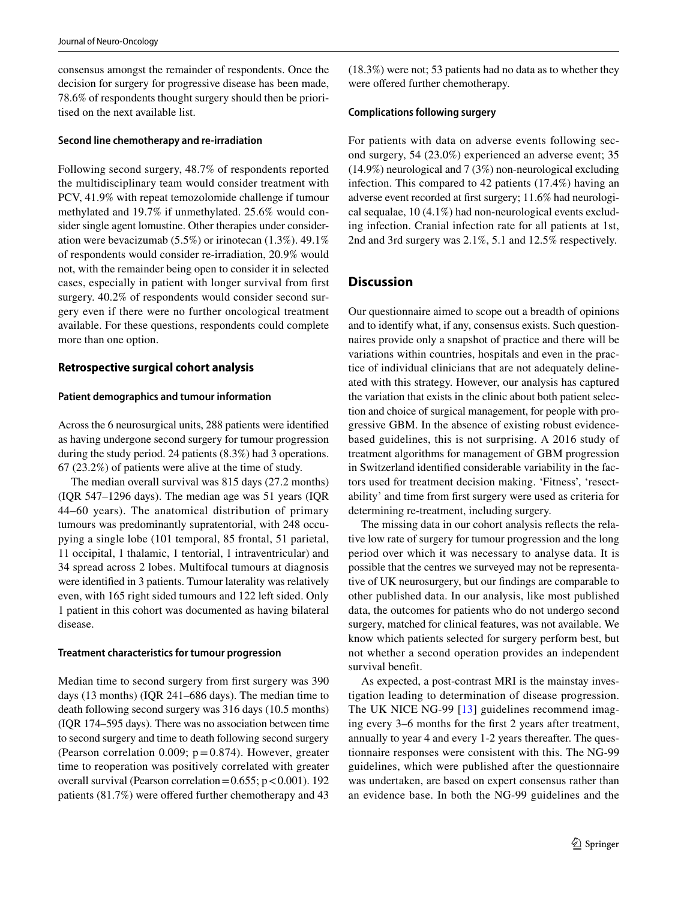consensus amongst the remainder of respondents. Once the decision for surgery for progressive disease has been made, 78.6% of respondents thought surgery should then be prioritised on the next available list.

#### **Second line chemotherapy and re‑irradiation**

Following second surgery, 48.7% of respondents reported the multidisciplinary team would consider treatment with PCV, 41.9% with repeat temozolomide challenge if tumour methylated and 19.7% if unmethylated. 25.6% would consider single agent lomustine. Other therapies under consideration were bevacizumab (5.5%) or irinotecan (1.3%). 49.1% of respondents would consider re-irradiation, 20.9% would not, with the remainder being open to consider it in selected cases, especially in patient with longer survival from frst surgery. 40.2% of respondents would consider second surgery even if there were no further oncological treatment available. For these questions, respondents could complete more than one option.

# **Retrospective surgical cohort analysis**

#### **Patient demographics and tumour information**

Across the 6 neurosurgical units, 288 patients were identifed as having undergone second surgery for tumour progression during the study period. 24 patients (8.3%) had 3 operations. 67 (23.2%) of patients were alive at the time of study.

The median overall survival was 815 days (27.2 months) (IQR 547–1296 days). The median age was 51 years (IQR 44–60 years). The anatomical distribution of primary tumours was predominantly supratentorial, with 248 occupying a single lobe (101 temporal, 85 frontal, 51 parietal, 11 occipital, 1 thalamic, 1 tentorial, 1 intraventricular) and 34 spread across 2 lobes. Multifocal tumours at diagnosis were identifed in 3 patients. Tumour laterality was relatively even, with 165 right sided tumours and 122 left sided. Only 1 patient in this cohort was documented as having bilateral disease.

## **Treatment characteristics for tumour progression**

Median time to second surgery from frst surgery was 390 days (13 months) (IQR 241–686 days). The median time to death following second surgery was 316 days (10.5 months) (IQR 174–595 days). There was no association between time to second surgery and time to death following second surgery (Pearson correlation 0.009;  $p = 0.874$ ). However, greater time to reoperation was positively correlated with greater overall survival (Pearson correlation =  $0.655$ ; p < 0.001). 192 patients  $(81.7%)$  were offered further chemotherapy and 43 (18.3%) were not; 53 patients had no data as to whether they were offered further chemotherapy.

#### **Complications following surgery**

For patients with data on adverse events following second surgery, 54 (23.0%) experienced an adverse event; 35 (14.9%) neurological and 7 (3%) non-neurological excluding infection. This compared to 42 patients (17.4%) having an adverse event recorded at frst surgery; 11.6% had neurological sequalae, 10 (4.1%) had non-neurological events excluding infection. Cranial infection rate for all patients at 1st, 2nd and 3rd surgery was 2.1%, 5.1 and 12.5% respectively.

# **Discussion**

Our questionnaire aimed to scope out a breadth of opinions and to identify what, if any, consensus exists. Such questionnaires provide only a snapshot of practice and there will be variations within countries, hospitals and even in the practice of individual clinicians that are not adequately delineated with this strategy. However, our analysis has captured the variation that exists in the clinic about both patient selection and choice of surgical management, for people with progressive GBM. In the absence of existing robust evidencebased guidelines, this is not surprising. A 2016 study of treatment algorithms for management of GBM progression in Switzerland identifed considerable variability in the factors used for treatment decision making. 'Fitness', 'resectability' and time from frst surgery were used as criteria for determining re-treatment, including surgery.

The missing data in our cohort analysis refects the relative low rate of surgery for tumour progression and the long period over which it was necessary to analyse data. It is possible that the centres we surveyed may not be representative of UK neurosurgery, but our fndings are comparable to other published data. In our analysis, like most published data, the outcomes for patients who do not undergo second surgery, matched for clinical features, was not available. We know which patients selected for surgery perform best, but not whether a second operation provides an independent survival beneft.

As expected, a post-contrast MRI is the mainstay investigation leading to determination of disease progression. The UK NICE NG-99 [[13\]](#page-8-10) guidelines recommend imaging every 3–6 months for the frst 2 years after treatment, annually to year 4 and every 1-2 years thereafter. The questionnaire responses were consistent with this. The NG-99 guidelines, which were published after the questionnaire was undertaken, are based on expert consensus rather than an evidence base. In both the NG-99 guidelines and the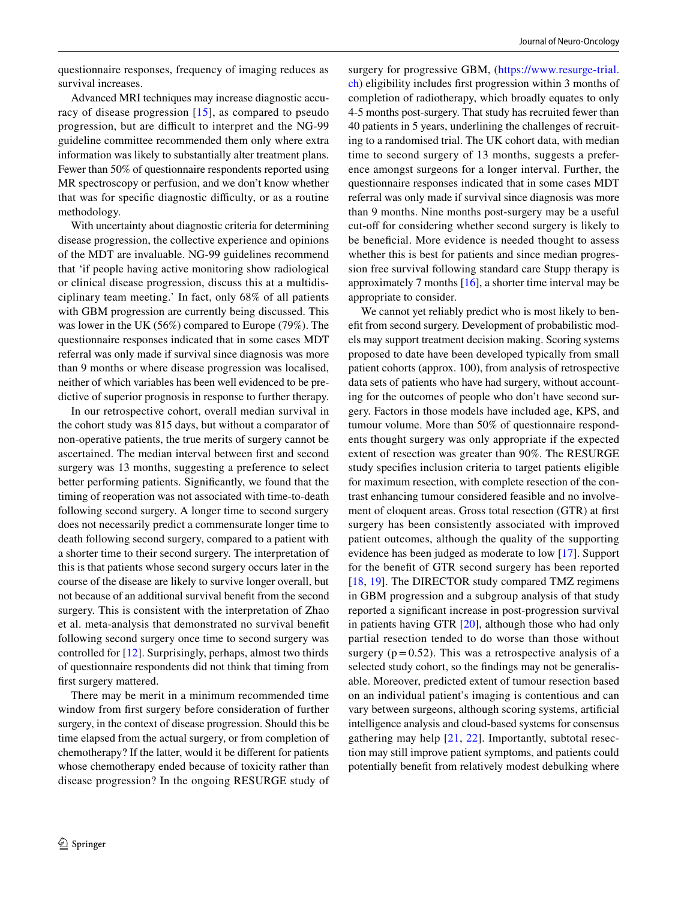questionnaire responses, frequency of imaging reduces as survival increases.

Advanced MRI techniques may increase diagnostic accuracy of disease progression [[15](#page-8-12)], as compared to pseudo progression, but are difficult to interpret and the NG-99 guideline committee recommended them only where extra information was likely to substantially alter treatment plans. Fewer than 50% of questionnaire respondents reported using MR spectroscopy or perfusion, and we don't know whether that was for specific diagnostic difficulty, or as a routine methodology.

With uncertainty about diagnostic criteria for determining disease progression, the collective experience and opinions of the MDT are invaluable. NG-99 guidelines recommend that 'if people having active monitoring show radiological or clinical disease progression, discuss this at a multidisciplinary team meeting.' In fact, only 68% of all patients with GBM progression are currently being discussed. This was lower in the UK (56%) compared to Europe (79%). The questionnaire responses indicated that in some cases MDT referral was only made if survival since diagnosis was more than 9 months or where disease progression was localised, neither of which variables has been well evidenced to be predictive of superior prognosis in response to further therapy.

In our retrospective cohort, overall median survival in the cohort study was 815 days, but without a comparator of non-operative patients, the true merits of surgery cannot be ascertained. The median interval between frst and second surgery was 13 months, suggesting a preference to select better performing patients. Signifcantly, we found that the timing of reoperation was not associated with time-to-death following second surgery. A longer time to second surgery does not necessarily predict a commensurate longer time to death following second surgery, compared to a patient with a shorter time to their second surgery. The interpretation of this is that patients whose second surgery occurs later in the course of the disease are likely to survive longer overall, but not because of an additional survival beneft from the second surgery. This is consistent with the interpretation of Zhao et al. meta-analysis that demonstrated no survival beneft following second surgery once time to second surgery was controlled for [\[12](#page-8-9)]. Surprisingly, perhaps, almost two thirds of questionnaire respondents did not think that timing from frst surgery mattered.

There may be merit in a minimum recommended time window from frst surgery before consideration of further surgery, in the context of disease progression. Should this be time elapsed from the actual surgery, or from completion of chemotherapy? If the latter, would it be diferent for patients whose chemotherapy ended because of toxicity rather than disease progression? In the ongoing RESURGE study of surgery for progressive GBM, ([https://www.resurge-trial.](https://www.resurge-trial.ch) [ch\)](https://www.resurge-trial.ch) eligibility includes frst progression within 3 months of completion of radiotherapy, which broadly equates to only 4-5 months post-surgery. That study has recruited fewer than 40 patients in 5 years, underlining the challenges of recruiting to a randomised trial. The UK cohort data, with median time to second surgery of 13 months, suggests a preference amongst surgeons for a longer interval. Further, the questionnaire responses indicated that in some cases MDT referral was only made if survival since diagnosis was more than 9 months. Nine months post-surgery may be a useful cut-off for considering whether second surgery is likely to be beneficial. More evidence is needed thought to assess whether this is best for patients and since median progression free survival following standard care Stupp therapy is approximately 7 months [[16\]](#page-8-13), a shorter time interval may be appropriate to consider.

We cannot yet reliably predict who is most likely to beneft from second surgery. Development of probabilistic models may support treatment decision making. Scoring systems proposed to date have been developed typically from small patient cohorts (approx. 100), from analysis of retrospective data sets of patients who have had surgery, without accounting for the outcomes of people who don't have second surgery. Factors in those models have included age, KPS, and tumour volume. More than 50% of questionnaire respondents thought surgery was only appropriate if the expected extent of resection was greater than 90%. The RESURGE study specifes inclusion criteria to target patients eligible for maximum resection, with complete resection of the contrast enhancing tumour considered feasible and no involvement of eloquent areas. Gross total resection (GTR) at frst surgery has been consistently associated with improved patient outcomes, although the quality of the supporting evidence has been judged as moderate to low [[17\]](#page-8-14). Support for the beneft of GTR second surgery has been reported [[18,](#page-8-15) [19](#page-8-16)]. The DIRECTOR study compared TMZ regimens in GBM progression and a subgroup analysis of that study reported a signifcant increase in post-progression survival in patients having GTR [\[20\]](#page-8-17), although those who had only partial resection tended to do worse than those without surgery  $(p=0.52)$ . This was a retrospective analysis of a selected study cohort, so the fndings may not be generalisable. Moreover, predicted extent of tumour resection based on an individual patient's imaging is contentious and can vary between surgeons, although scoring systems, artifcial intelligence analysis and cloud-based systems for consensus gathering may help  $[21, 22]$  $[21, 22]$  $[21, 22]$  $[21, 22]$ . Importantly, subtotal resection may still improve patient symptoms, and patients could potentially beneft from relatively modest debulking where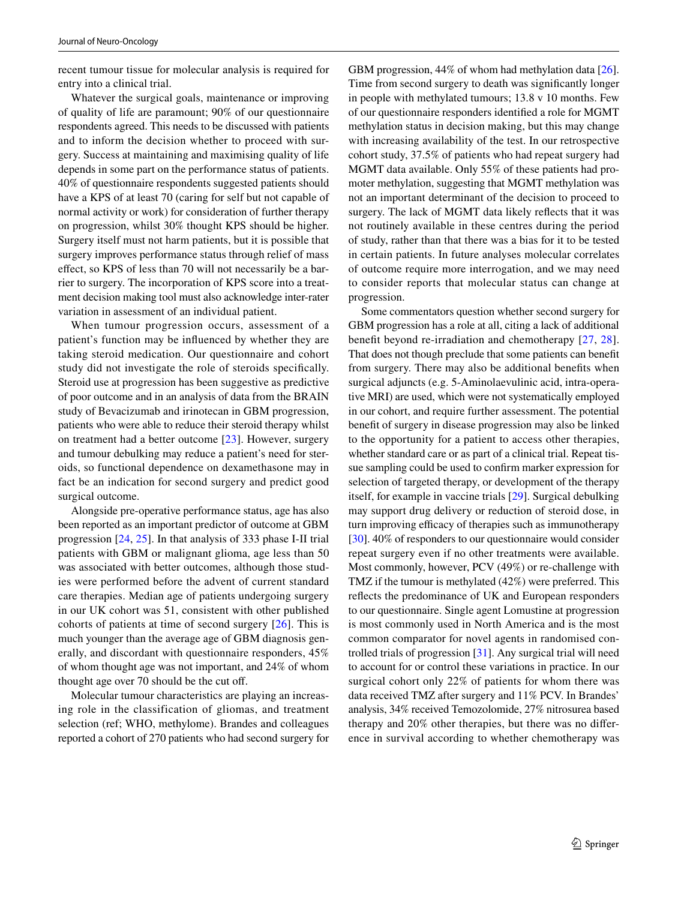recent tumour tissue for molecular analysis is required for entry into a clinical trial.

Whatever the surgical goals, maintenance or improving of quality of life are paramount; 90% of our questionnaire respondents agreed. This needs to be discussed with patients and to inform the decision whether to proceed with surgery. Success at maintaining and maximising quality of life depends in some part on the performance status of patients. 40% of questionnaire respondents suggested patients should have a KPS of at least 70 (caring for self but not capable of normal activity or work) for consideration of further therapy on progression, whilst 30% thought KPS should be higher. Surgery itself must not harm patients, but it is possible that surgery improves performance status through relief of mass efect, so KPS of less than 70 will not necessarily be a barrier to surgery. The incorporation of KPS score into a treatment decision making tool must also acknowledge inter-rater variation in assessment of an individual patient.

When tumour progression occurs, assessment of a patient's function may be infuenced by whether they are taking steroid medication. Our questionnaire and cohort study did not investigate the role of steroids specifcally. Steroid use at progression has been suggestive as predictive of poor outcome and in an analysis of data from the BRAIN study of Bevacizumab and irinotecan in GBM progression, patients who were able to reduce their steroid therapy whilst on treatment had a better outcome [[23](#page-8-20)]. However, surgery and tumour debulking may reduce a patient's need for steroids, so functional dependence on dexamethasone may in fact be an indication for second surgery and predict good surgical outcome.

Alongside pre-operative performance status, age has also been reported as an important predictor of outcome at GBM progression [\[24](#page-8-21), [25\]](#page-8-22). In that analysis of 333 phase I-II trial patients with GBM or malignant glioma, age less than 50 was associated with better outcomes, although those studies were performed before the advent of current standard care therapies. Median age of patients undergoing surgery in our UK cohort was 51, consistent with other published cohorts of patients at time of second surgery [[26](#page-8-23)]. This is much younger than the average age of GBM diagnosis generally, and discordant with questionnaire responders, 45% of whom thought age was not important, and 24% of whom thought age over 70 should be the cut of.

Molecular tumour characteristics are playing an increasing role in the classification of gliomas, and treatment selection (ref; WHO, methylome). Brandes and colleagues reported a cohort of 270 patients who had second surgery for GBM progression, 44% of whom had methylation data [\[26](#page-8-23)]. Time from second surgery to death was signifcantly longer in people with methylated tumours; 13.8 v 10 months. Few of our questionnaire responders identifed a role for MGMT methylation status in decision making, but this may change with increasing availability of the test. In our retrospective cohort study, 37.5% of patients who had repeat surgery had MGMT data available. Only 55% of these patients had promoter methylation, suggesting that MGMT methylation was not an important determinant of the decision to proceed to surgery. The lack of MGMT data likely refects that it was not routinely available in these centres during the period of study, rather than that there was a bias for it to be tested in certain patients. In future analyses molecular correlates of outcome require more interrogation, and we may need to consider reports that molecular status can change at progression.

Some commentators question whether second surgery for GBM progression has a role at all, citing a lack of additional beneft beyond re-irradiation and chemotherapy [[27](#page-8-24), [28](#page-8-25)]. That does not though preclude that some patients can beneft from surgery. There may also be additional benefts when surgical adjuncts (e.g. 5-Aminolaevulinic acid, intra-operative MRI) are used, which were not systematically employed in our cohort, and require further assessment. The potential beneft of surgery in disease progression may also be linked to the opportunity for a patient to access other therapies, whether standard care or as part of a clinical trial. Repeat tissue sampling could be used to confrm marker expression for selection of targeted therapy, or development of the therapy itself, for example in vaccine trials [[29\]](#page-8-26). Surgical debulking may support drug delivery or reduction of steroid dose, in turn improving efficacy of therapies such as immunotherapy [\[30](#page-8-27)]. 40% of responders to our questionnaire would consider repeat surgery even if no other treatments were available. Most commonly, however, PCV (49%) or re-challenge with TMZ if the tumour is methylated (42%) were preferred. This refects the predominance of UK and European responders to our questionnaire. Single agent Lomustine at progression is most commonly used in North America and is the most common comparator for novel agents in randomised controlled trials of progression [[31\]](#page-8-28). Any surgical trial will need to account for or control these variations in practice. In our surgical cohort only 22% of patients for whom there was data received TMZ after surgery and 11% PCV. In Brandes' analysis, 34% received Temozolomide, 27% nitrosurea based therapy and 20% other therapies, but there was no diference in survival according to whether chemotherapy was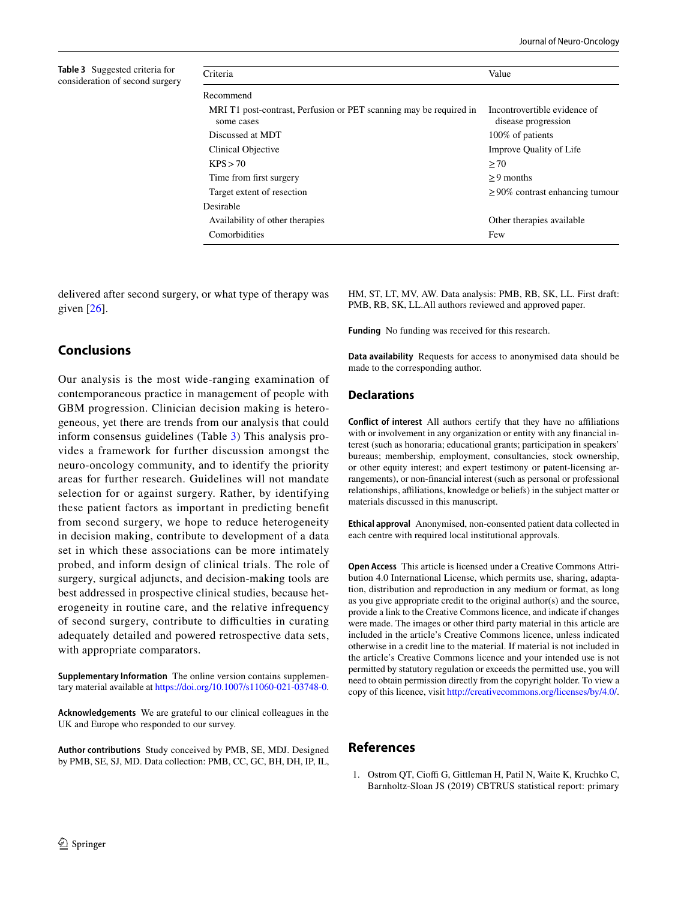<span id="page-7-1"></span>

| <b>Table 3</b> Suggested criteria for |
|---------------------------------------|
| consideration of second surgery       |

| Criteria                                                                         | Value                                               |
|----------------------------------------------------------------------------------|-----------------------------------------------------|
| Recommend                                                                        |                                                     |
| MRI T1 post-contrast, Perfusion or PET scanning may be required in<br>some cases | Incontrovertible evidence of<br>disease progression |
| Discussed at MDT                                                                 | 100% of patients                                    |
| Clinical Objective                                                               | Improve Quality of Life                             |
| KPS > 70                                                                         | >70                                                 |
| Time from first surgery                                                          | $> 9$ months                                        |
| Target extent of resection                                                       | $\geq$ 90% contrast enhancing tumour                |
| Desirable                                                                        |                                                     |
| Availability of other therapies                                                  | Other therapies available                           |
| Comorbidities                                                                    | Few                                                 |
|                                                                                  |                                                     |

delivered after second surgery, or what type of therapy was given [\[26](#page-8-23)].

# **Conclusions**

Our analysis is the most wide-ranging examination of contemporaneous practice in management of people with GBM progression. Clinician decision making is heterogeneous, yet there are trends from our analysis that could inform consensus guidelines (Table [3\)](#page-7-1) This analysis provides a framework for further discussion amongst the neuro-oncology community, and to identify the priority areas for further research. Guidelines will not mandate selection for or against surgery. Rather, by identifying these patient factors as important in predicting beneft from second surgery, we hope to reduce heterogeneity in decision making, contribute to development of a data set in which these associations can be more intimately probed, and inform design of clinical trials. The role of surgery, surgical adjuncts, and decision-making tools are best addressed in prospective clinical studies, because heterogeneity in routine care, and the relative infrequency of second surgery, contribute to difficulties in curating adequately detailed and powered retrospective data sets, with appropriate comparators.

**Supplementary Information** The online version contains supplementary material available at<https://doi.org/10.1007/s11060-021-03748-0>.

**Acknowledgements** We are grateful to our clinical colleagues in the UK and Europe who responded to our survey.

**Author contributions** Study conceived by PMB, SE, MDJ. Designed by PMB, SE, SJ, MD. Data collection: PMB, CC, GC, BH, DH, IP, IL, HM, ST, LT, MV, AW. Data analysis: PMB, RB, SK, LL. First draft: PMB, RB, SK, LL.All authors reviewed and approved paper.

**Funding** No funding was received for this research.

**Data availability** Requests for access to anonymised data should be made to the corresponding author.

#### **Declarations**

**Conflict of interest** All authors certify that they have no affiliations with or involvement in any organization or entity with any fnancial interest (such as honoraria; educational grants; participation in speakers' bureaus; membership, employment, consultancies, stock ownership, or other equity interest; and expert testimony or patent-licensing arrangements), or non-fnancial interest (such as personal or professional relationships, afliations, knowledge or beliefs) in the subject matter or materials discussed in this manuscript.

**Ethical approval** Anonymised, non-consented patient data collected in each centre with required local institutional approvals.

**Open Access** This article is licensed under a Creative Commons Attribution 4.0 International License, which permits use, sharing, adaptation, distribution and reproduction in any medium or format, as long as you give appropriate credit to the original author(s) and the source, provide a link to the Creative Commons licence, and indicate if changes were made. The images or other third party material in this article are included in the article's Creative Commons licence, unless indicated otherwise in a credit line to the material. If material is not included in the article's Creative Commons licence and your intended use is not permitted by statutory regulation or exceeds the permitted use, you will need to obtain permission directly from the copyright holder. To view a copy of this licence, visit<http://creativecommons.org/licenses/by/4.0/>.

#### **References**

<span id="page-7-0"></span>1. Ostrom QT, Cioffi G, Gittleman H, Patil N, Waite K, Kruchko C, Barnholtz-Sloan JS (2019) CBTRUS statistical report: primary